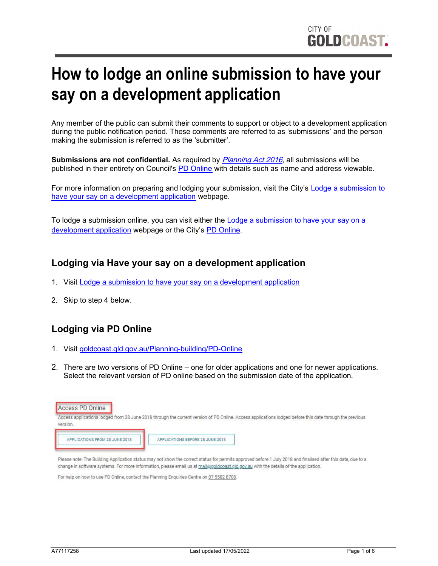# How to lodge an online submission to have your say on a development application

Any member of the public can submit their comments to support or object to a development application during the public notification period. These comments are referred to as 'submissions' and the person making the submission is referred to as the 'submitter'.

Submissions are not confidential. As required by *[Planning Act 2016](https://www.legislation.qld.gov.au/view/html/inforce/current/act-2016-025)*, all submissions will be published in their entirety on Council's [PD Online](https://www.goldcoast.qld.gov.au/Planning-building/PD-Online) with details such as name and address viewable.

[For more information on preparing and lodging your submission, visit the City's](https://www.goldcoast.qld.gov.au/Planning-building/Development-applications/Have-your-say-on-a-development-application) Lodge a submission to have your say on a development application webpage.

To lodge a submission online, you can visit either the **Lodge a submission to have your say on a** [development application webpage or the City's P](https://www.goldcoast.qld.gov.au/Planning-building/Development-applications/Have-your-say-on-a-development-application)[D Online.](https://www.goldcoast.qld.gov.au/Planning-building/PD-Online)

## Lodging via Have your say on a development application

- 1. Visit [Lodge a submission to have your say on a development application](https://www.goldcoast.qld.gov.au/Planning-building/Development-applications/Have-your-say-on-a-development-application)
- 2. Skip to step 4 below.

## Lodging via PD Online

- 1. Visit [goldcoast.qld.gov.au/Planning-building/PD-Online](https://www.goldcoast.qld.gov.au/Planning-building/PD-Online)
- 2. There are two versions of PD Online one for older applications and one for newer applications. Select the relevant version of PD online based on the submission date of the application.



change in software systems. For more information, please email us at mail@goldcoast.gld.gov.au with the details of the application.

For help on how to use PD Online, contact the Planning Enguiries Centre on 07 5582 8708.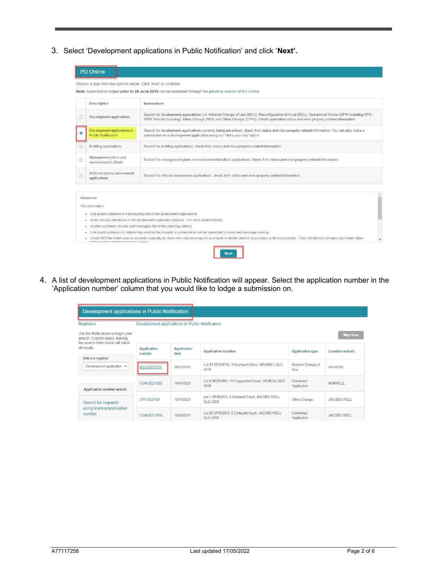3. Select 'Development applications in Public Notification' and click 'Next'.

|                                                                                                 | Choose a type from the options below. Click 'Next' to continue.                                                                                                                                                                                                                                                                   |                                                                                                                                                                                                                                                                                      |  |
|-------------------------------------------------------------------------------------------------|-----------------------------------------------------------------------------------------------------------------------------------------------------------------------------------------------------------------------------------------------------------------------------------------------------------------------------------|--------------------------------------------------------------------------------------------------------------------------------------------------------------------------------------------------------------------------------------------------------------------------------------|--|
|                                                                                                 |                                                                                                                                                                                                                                                                                                                                   | Note: Applications lodged prior to 28 June 2018 can be accessed through the previous version of PD Online.                                                                                                                                                                           |  |
|                                                                                                 | Description                                                                                                                                                                                                                                                                                                                       | Instructions                                                                                                                                                                                                                                                                         |  |
| C                                                                                               | Development applications                                                                                                                                                                                                                                                                                                          | Search for development applications (i.e. Material Change of Use (MCU), Reconfiguration of A Lot (ROL), Operational Works (OPW including OPV -<br>OPW Vehicle Crossing), Minor Change (MIN) and Other Change (OTH)). Check application status and view property related information. |  |
|                                                                                                 | Development applications in<br><b>Public Notification</b>                                                                                                                                                                                                                                                                         | Search for development applications currently being advertised, check their status and view property related information. You can also make a<br>submission on a development application using our 'Have your say' option.                                                           |  |
| O                                                                                               | <b>Building applications</b>                                                                                                                                                                                                                                                                                                      | Search for building applications, check their status and view property related information.                                                                                                                                                                                          |  |
| $\circ$                                                                                         | Management plans and<br>environmental offsets                                                                                                                                                                                                                                                                                     | Search for management plans and environmental offset applications, check their status and view property related information.                                                                                                                                                         |  |
| C                                                                                               | Referral agency assessment<br>applications                                                                                                                                                                                                                                                                                        | Search for referral assessment applications, check their status and view property related information.                                                                                                                                                                               |  |
|                                                                                                 |                                                                                                                                                                                                                                                                                                                                   |                                                                                                                                                                                                                                                                                      |  |
|                                                                                                 | Disclaimer<br>This information:                                                                                                                                                                                                                                                                                                   |                                                                                                                                                                                                                                                                                      |  |
| to assist customers in tracking progress of the development applications<br><b>IS</b><br>۰      |                                                                                                                                                                                                                                                                                                                                   |                                                                                                                                                                                                                                                                                      |  |
| deals with key milestones in the development application process - it is not a detailed history |                                                                                                                                                                                                                                                                                                                                   |                                                                                                                                                                                                                                                                                      |  |
|                                                                                                 | enables customers to view and interrogate the online planning scheme<br>٠                                                                                                                                                                                                                                                         |                                                                                                                                                                                                                                                                                      |  |
|                                                                                                 | to assist customers in determining whether the property is connected or can be connected to water and sewerage services<br>IS.<br>should NOT be relied upon as accurate especially by those who may be using this as a basis to decide whether to purchase or finance property - if you fall into that category you should obtain |                                                                                                                                                                                                                                                                                      |  |

4. A list of development applications in Public Notification will appear. Select the application number in the 'Application number' column that you would like to lodge a submission on.

| Development applications in Public Notification<br>Registers                                                | Development applications in Public Notification |                            |                                                            |                           |                 |
|-------------------------------------------------------------------------------------------------------------|-------------------------------------------------|----------------------------|------------------------------------------------------------|---------------------------|-----------------|
| Use the fields below to begin your<br>search. In some cases, leaving<br>the search fields blank will return |                                                 |                            |                                                            |                           | <b>Map View</b> |
| all results                                                                                                 | <b>Application</b><br>number                    | <b>Application</b><br>date | <b>Application location</b>                                | <b>Application type</b>   | Location suburb |
| Select a register                                                                                           |                                                 |                            |                                                            |                           |                 |
| Development applicatior v                                                                                   | MCU/2021/375                                    | 29/07/2021                 | Lot 31 SP309740, 4 Newheath Drive, ARUNDEL QLD<br>4214     | Material Change of<br>Use | ARUNDEL         |
|                                                                                                             | COM/2021/255                                    | 14/10/2021                 | Lot 4 SP254945, 114 Eggersdorf Road, ORMEAU QLD<br>4208    | Combined<br>Application   | NORWELL         |
| Application number search                                                                                   |                                                 |                            |                                                            |                           |                 |
| Search for requests<br>using licence/application<br>number                                                  | OTH/2021/59                                     | 15/10/2021                 | Lot 1 SP302072, 2 Corbould Court, JACOBS WELL<br>QLD 4208  | Other Change              | JACOBS WELL     |
|                                                                                                             | COM/2021/258                                    | 15/10/2021                 | Lot 28 SP302072, 6 Corbould Court, JACOBS WELL<br>QLD 4208 | Combined<br>Application   | JACOBS WELL     |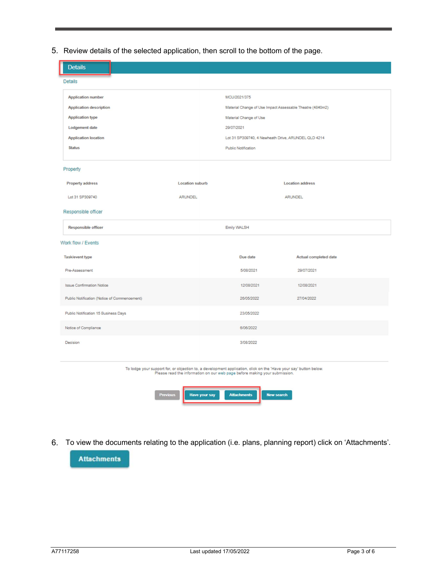5. Review details of the selected application, then scroll to the bottom of the page.

| <b>Details</b>                               |                      |                                                                                                                                                                                                 |                         |
|----------------------------------------------|----------------------|-------------------------------------------------------------------------------------------------------------------------------------------------------------------------------------------------|-------------------------|
| <b>Details</b>                               |                      |                                                                                                                                                                                                 |                         |
| <b>Application number</b>                    |                      | MCU/2021/375                                                                                                                                                                                    |                         |
| <b>Application description</b>               |                      | Material Change of Use Impact Assessable Theatre (4840m2)                                                                                                                                       |                         |
| <b>Application type</b>                      |                      | Material Change of Use                                                                                                                                                                          |                         |
| Lodgement date                               |                      | 29/07/2021                                                                                                                                                                                      |                         |
| <b>Application location</b>                  |                      | Lot 31 SP309740, 4 Newheath Drive, ARUNDEL QLD 4214                                                                                                                                             |                         |
| <b>Status</b>                                |                      | <b>Public Notification</b>                                                                                                                                                                      |                         |
| Property                                     |                      |                                                                                                                                                                                                 |                         |
| <b>Property address</b>                      | Location suburb      |                                                                                                                                                                                                 | <b>Location address</b> |
| Lot 31 SP309740                              | <b>ARUNDEL</b>       |                                                                                                                                                                                                 | ARUNDEL                 |
| Responsible officer                          |                      |                                                                                                                                                                                                 |                         |
| <b>Responsible officer</b>                   |                      | Emily WALSH                                                                                                                                                                                     |                         |
| Work flow / Events                           |                      |                                                                                                                                                                                                 |                         |
| Task/event type                              |                      | Due date                                                                                                                                                                                        | Actual completed date   |
| Pre-Assessment                               |                      | 5/08/2021                                                                                                                                                                                       | 29/07/2021              |
| <b>Issue Confirmation Notice</b>             |                      | 12/08/2021                                                                                                                                                                                      | 12/08/2021              |
| Public Notification (Notice of Commencement) |                      | 26/05/2022                                                                                                                                                                                      | 27/04/2022              |
| Public Notification 15 Business Days         |                      | 23/05/2022                                                                                                                                                                                      |                         |
| Notice of Compliance                         |                      | 6/06/2022                                                                                                                                                                                       |                         |
| Decision                                     |                      | 3/08/2022                                                                                                                                                                                       |                         |
|                                              |                      | To lodge your support for, or objection to, a development application, click on the 'Have your say' button below.<br>Please read the information on our web page before making your submission. |                         |
| <b>Previous</b>                              | <b>Have your say</b> | <b>Attachments</b><br><b>New search</b>                                                                                                                                                         |                         |

6. To view the documents relating to the application (i.e. plans, planning report) click on 'Attachments'.

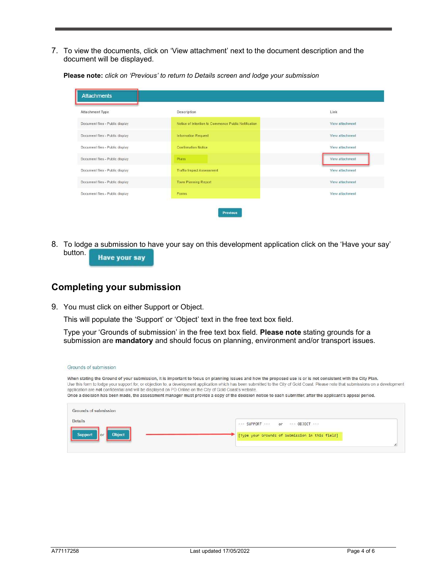7. To view the documents, click on 'View attachment' next to the document description and the document will be displayed.

Please note: click on 'Previous' to return to Details screen and lodge your submission

| Attachment Type                 | Description                                         | Link            |
|---------------------------------|-----------------------------------------------------|-----------------|
| Document files - Public display | Notice of Intention to Commence Public Notification | View attachment |
| Document files - Public display | <b>Information Request</b>                          | View attachment |
| Document files - Public display | <b>Confirmation Notice</b>                          | View attachment |
| Document files - Public display | Plans                                               | View attachment |
| Document files - Public display | <b>Traffio Impact Assessment</b>                    | View attachment |
| Document files - Public display | <b>Town Planning Report</b>                         | View attachment |
| Document files - Public display | Forms                                               | View attachment |

8. To lodge a submission to have your say on this development application click on the 'Have your say' button. **Have your say** 

### Completing your submission

9. You must click on either Support or Object.

This will populate the 'Support' or 'Object' text in the free text box field.

Type your 'Grounds of submission' in the free text box field. Please note stating grounds for a submission are **mandatory** and should focus on planning, environment and/or transport issues.

| Grounds of submission                                                                                    |                                                                                                                                                                                                                                                                                                                                                                                                                                                                                                                  |  |
|----------------------------------------------------------------------------------------------------------|------------------------------------------------------------------------------------------------------------------------------------------------------------------------------------------------------------------------------------------------------------------------------------------------------------------------------------------------------------------------------------------------------------------------------------------------------------------------------------------------------------------|--|
| application are not confidential and will be displayed on PD Online on the City of Gold Coast's website. | When stating the Ground of your submission, it is important to focus on planning issues and how the proposed use is or is not consistent with the City Plan.<br>Use this form to lodge your support for, or objection to, a development application which has been submitted to the City of Gold Coast. Please note that submissions on a developmen<br>Once a decision has been made, the assessment manager must provide a copy of the decision notice to each submitter, after the applicant's appeal period. |  |
| Grounds of submission<br>Details<br><b>Object</b><br><b>Support</b><br>$\alpha$                          | or<br>$--- OBIECT---$<br>[Type your Grounds of Submission in this field]                                                                                                                                                                                                                                                                                                                                                                                                                                         |  |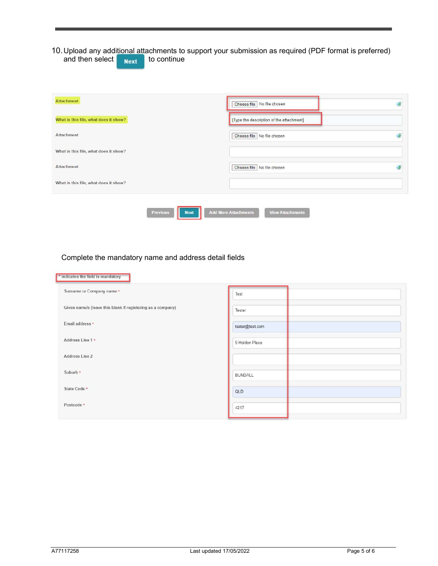#### 10. Upload any additional attachments to support your submission as required (PDF format is preferred) and then select  $\begin{array}{|c|c|c|}\n\hline\n\text{Next} & \text{to continue}\n\end{array}$

| [Type the description of the attachment]       |
|------------------------------------------------|
|                                                |
| $\overline{z}$<br>Choose file No file chosen   |
|                                                |
| Choose file   No file chosen<br>$\overline{z}$ |
|                                                |
|                                                |

#### Complete the mandatory name and address detail fields

| Test            |  |
|-----------------|--|
| Tester          |  |
| tester@test.com |  |
| 9 Holden Place  |  |
|                 |  |
| <b>BUNDALL</b>  |  |
| QLD             |  |
| 4217            |  |
|                 |  |